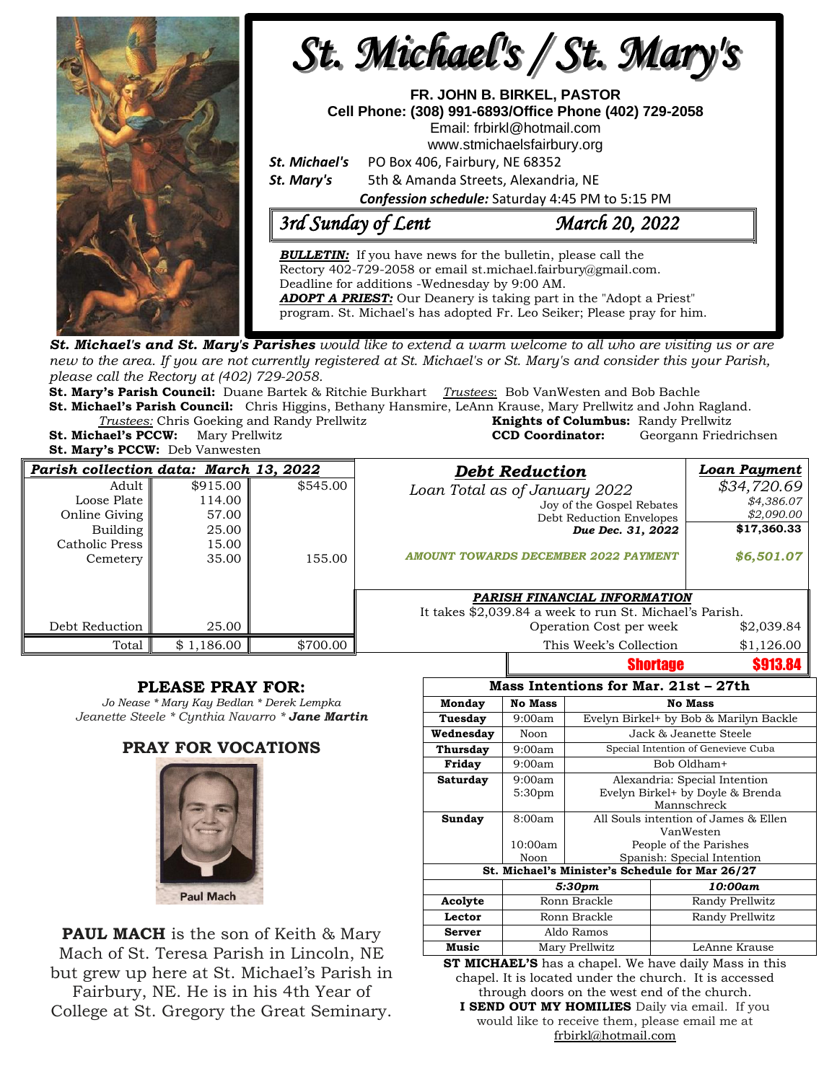

**St. Michael's and St. Mary's Parishes** would like to extend a warm welcome to all who are visiting us or are new to the area. If you are not currently registered at St. Michael's or St. Mary's and consider this your Parish, *please call the Rectory at (402) 729-2058.* 

**St. Mary's Parish Council:** Duane Bartek & Ritchie Burkhart *Trustees*: Bob VanWesten and Bob Bachle **St. Michael's Parish Council:** Chris Higgins, Bethany Hansmire, LeAnn Krause, Mary Prellwitz and John Ragland.

**Trustees:** Chris Goeking and Randy Prellwitz

**St. Michael's PCCW:** Mary Prellwitz **St. Mary's PCCW:** Deb Vanwesten

| Knights of Columbus: Randy Prellwitz |                       |  |  |
|--------------------------------------|-----------------------|--|--|
| <b>CCD Coordinator:</b>              | Georgann Friedrichsen |  |  |
|                                      |                       |  |  |

| Parish collection data: March 13, 2022                                                   |                                                        | <b>Debt Reduction</b> | <b>Loan Payment</b>                                                                                                                                        |                         |                                                                      |
|------------------------------------------------------------------------------------------|--------------------------------------------------------|-----------------------|------------------------------------------------------------------------------------------------------------------------------------------------------------|-------------------------|----------------------------------------------------------------------|
| Adult  <br>Loose Plate<br>Online Giving<br>Building<br>Catholic Press<br><b>Cemetery</b> | \$915.00<br>114.00<br>57.00<br>25.00<br>15.00<br>35.00 | \$545.00<br>155.00    | Loan Total as of January 2022<br>Joy of the Gospel Rebates<br>Debt Reduction Envelopes<br>Due Dec. 31, 2022<br><b>AMOUNT TOWARDS DECEMBER 2022 PAYMENT</b> |                         | \$34,720.69<br>\$4,386.07<br>\$2,090.00<br>\$17,360.33<br>\$6,501.07 |
|                                                                                          |                                                        |                       | PARISH FINANCIAL INFORMATION<br>It takes \$2,039.84 a week to run St. Michael's Parish.                                                                    |                         |                                                                      |
| Debt Reduction                                                                           | 25.00                                                  |                       |                                                                                                                                                            | Operation Cost per week | \$2,039.84                                                           |
| Total                                                                                    | \$1,186.00                                             | \$700.00              |                                                                                                                                                            | This Week's Collection  | \$1,126.00                                                           |
|                                                                                          |                                                        |                       |                                                                                                                                                            | Chartana                | <b>CO19 04</b>                                                       |

### **PLEASE PRAY FOR:**

*Jo Nease \* Mary Kay Bedlan \* Derek Lempka Jeanette Steele \* Cynthia Navarro \* Jane Martin*

### **PRAY FOR VOCATIONS**



**PAUL MACH** is the son of Keith & Mary Mach of St. Teresa Parish in Lincoln, NE but grew up here at St. Michael's Parish in Fairbury, NE. He is in his 4th Year of College at St. Gregory the Great Seminary.

|                                                 |                    |                                        | onoruso       | VJ IV.UT        |  |  |  |  |
|-------------------------------------------------|--------------------|----------------------------------------|---------------|-----------------|--|--|--|--|
| Mass Intentions for Mar. 21st – 27th            |                    |                                        |               |                 |  |  |  |  |
| Monday                                          | <b>No Mass</b>     | <b>No Mass</b>                         |               |                 |  |  |  |  |
| Tuesday                                         | 9:00am             | Evelyn Birkel+ by Bob & Marilyn Backle |               |                 |  |  |  |  |
| Wednesday                                       | Noon               | Jack & Jeanette Steele                 |               |                 |  |  |  |  |
| Thursday                                        | 9:00am             | Special Intention of Genevieve Cuba    |               |                 |  |  |  |  |
| Friday                                          | 9:00am             | Bob Oldham+                            |               |                 |  |  |  |  |
| Saturday                                        | 9:00am             | Alexandria: Special Intention          |               |                 |  |  |  |  |
|                                                 | 5:30 <sub>pm</sub> | Evelyn Birkel+ by Doyle & Brenda       |               |                 |  |  |  |  |
|                                                 |                    | Mannschreck                            |               |                 |  |  |  |  |
| Sunday                                          | 8:00am             | All Souls intention of James & Ellen   |               |                 |  |  |  |  |
|                                                 |                    | VanWesten                              |               |                 |  |  |  |  |
|                                                 | 10:00am            | People of the Parishes                 |               |                 |  |  |  |  |
|                                                 | Noon               | Spanish: Special Intention             |               |                 |  |  |  |  |
| St. Michael's Minister's Schedule for Mar 26/27 |                    |                                        |               |                 |  |  |  |  |
|                                                 | 5:30pm             |                                        |               | 10:00am         |  |  |  |  |
| Acolyte                                         | Ronn Brackle       |                                        |               | Randy Prellwitz |  |  |  |  |
| Lector                                          | Ronn Brackle       |                                        |               | Randy Prellwitz |  |  |  |  |
| Server                                          | Aldo Ramos         |                                        |               |                 |  |  |  |  |
| Music                                           | Mary Prellwitz     |                                        | LeAnne Krause |                 |  |  |  |  |

**ST MICHAEL'S** has a chapel. We have daily Mass in this chapel. It is located under the church. It is accessed through doors on the west end of the church.

**I SEND OUT MY HOMILIES** Daily via email. If you would like to receive them, please email me at [frbirkl@hotmail.com](mailto:frbirkl@hotmail.com)